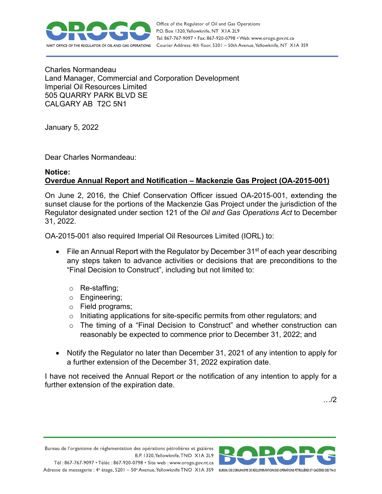

Charles Normandeau Land Manager, Commercial and Corporation Development Imperial Oil Resources Limited 505 QUARRY PARK BLVD SE CALGARY AB T2C 5N1

January 5, 2022

Dear Charles Normandeau:

## **Notice: Overdue Annual Report and Notification – Mackenzie Gas Project (OA-2015-001)**

On June 2, 2016, the Chief Conservation Officer issued OA-2015-001, extending the sunset clause for the portions of the Mackenzie Gas Project under the jurisdiction of the Regulator designated under section 121 of the *Oil and Gas Operations Act* to December 31, 2022.

OA-2015-001 also required Imperial Oil Resources Limited (IORL) to:

- File an Annual Report with the Regulator by December  $31<sup>st</sup>$  of each year describing any steps taken to advance activities or decisions that are preconditions to the "Final Decision to Construct", including but not limited to:
	- o Re-staffing;
	- o Engineering;
	- o Field programs;
	- o Initiating applications for site-specific permits from other regulators; and
	- o The timing of a "Final Decision to Construct" and whether construction can reasonably be expected to commence prior to December 31, 2022; and
- Notify the Regulator no later than December 31, 2021 of any intention to apply for a further extension of the December 31, 2022 expiration date.

I have not received the Annual Report or the notification of any intention to apply for a further extension of the expiration date.

…/2